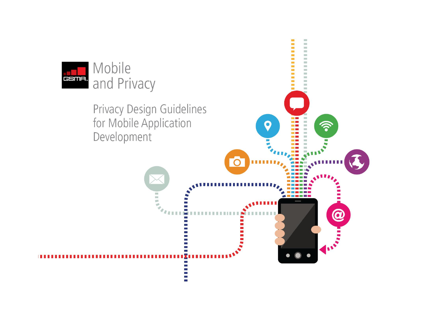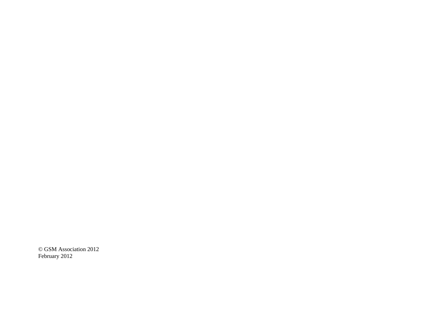© GSM Association 2012 February 2012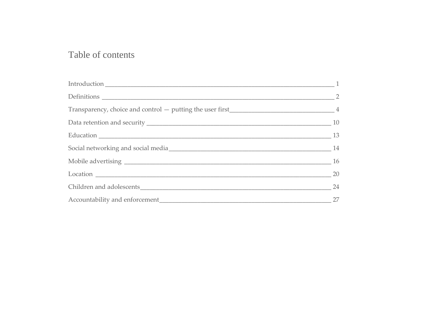## Table of contents

| $\sim$ 2 |
|----------|
|          |
|          |
|          |
|          |
|          |
|          |
|          |
| 27       |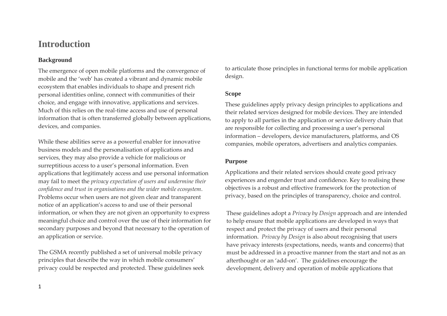#### **Introduction**

#### **Background**

The emergence of open mobile platforms and the convergence of mobile and the 'web' has created a vibrant and dynamic mobile ecosystem that enables individuals to shape and present rich personal identities online, connect with communities of their choice, and engage with innovative, applications and services. Much of this relies on the real-time access and use of personal information that is often transferred globally between applications, devices, and companies.

While these abilities serve as a powerful enabler for innovative business models and the personalisation of applications and services, they may also provide a vehicle for malicious or surreptitious access to a user's personal information. Even applications that legitimately access and use personal information may fail to meet the *privacy expectation of users and undermine their confidence and trust in organisations and the wider mobile ecosystem*. Problems occur when users are not given clear and transparent notice of an application's access to and use of their personal information, or when they are not given an opportunity to express meaningful choice and control over the use of their information for secondary purposes and beyond that necessary to the operation of an application or service.

The GSMA recently published a set of universal mobile privacy principles that describe the way in which mobile consumers' privacy could be respected and protected. These guidelines seek to articulate those principles in functional terms for mobile application design.

#### **Scope**

These guidelines apply privacy design principles to applications and their related services designed for mobile devices. They are intended to apply to all parties in the application or service delivery chain that are responsible for collecting and processing a user's personal information – developers, device manufacturers, platforms, and OS companies, mobile operators, advertisers and analytics companies.

#### **Purpose**

Applications and their related services should create good privacy experiences and engender trust and confidence. Key to realising these objectives is a robust and effective framework for the protection of privacy, based on the principles of transparency, choice and control.

These guidelines adopt a *Privacy by Design* approach and are intended to help ensure that mobile applications are developed in ways that respect and protect the privacy of users and their personal information. *Privacy by Design* is also about recognising that users have privacy interests (expectations, needs, wants and concerns) that must be addressed in a proactive manner from the start and not as an afterthought or an 'add-on'. The guidelines encourage the development, delivery and operation of mobile applications that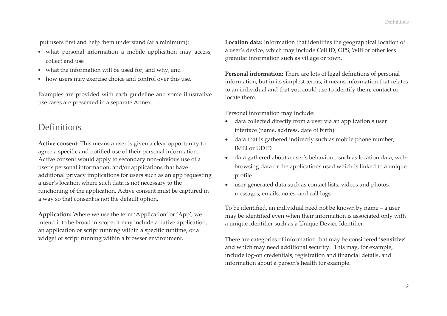put users first and help them understand (at a minimum):

- what personal information a mobile application may access. collect and use
- what the information will be used for, and why, and
- how users may exercise choice and control over this use.

Examples are provided with each guideline and some illustrative use cases are presented in a separate Annex.

## **Definitions**

**Active consent:** This means a user is given a clear opportunity to agree a specific and notified use of their personal information. Active consent would apply to secondary non-obvious use of a user's personal information, and/or applications that have additional privacy implications for users such as an app requesting a user's location where such data is not necessary to the functioning of the application. Active consent must be captured in a way so that consent is not the default option.

**Application:** Where we use the term 'Application' or 'App', we intend it to be broad in scope; it may include a native application, an application or script running within a specific runtime, or a widget or script running within a browser environment.

**Location data:** Information that identifies the geographical location of a user's device, which may include Cell ID, GPS, Wifi or other less granular information such as village or town.

**Personal information:** There are lots of legal definitions of personal information, but in its simplest terms, it means information that relates to an individual and that you could use to identify them, contact or locate them.

Personal information may include:

- data collected directly from a user via an application's user interface (name, address, date of birth)
- data that is gathered indirectly such as mobile phone number, IMEI or UDID
- data gathered about a user's behaviour, such as location data, webbrowsing data or the applications used which is linked to a unique profile
- user-generated data such as contact lists, videos and photos, messages, emails, notes, and call logs.

To be identified, an individual need not be known by name – a user may be identified even when their information is associated only with a unique identifier such as a Unique Device Identifier.

There are categories of information that may be considered '**sensitive**' and which may need additional security. This may, for example, include log-on credentials, registration and financial details, and information about a person's health for example.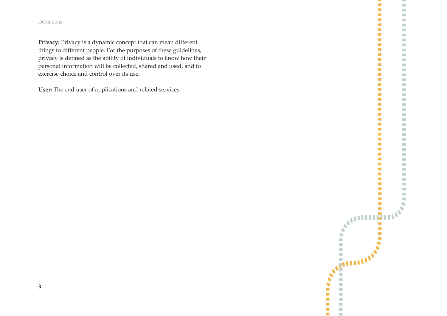Definitions

**Privacy:** Privacy is a dynamic concept that can mean different things to different people. For the purposes of these guidelines, privacy is defined as the ability of individuals to know how their personal information will be collected, shared and used, and to exercise choice and control over its use.

**User:** The end user of applications and related services.



3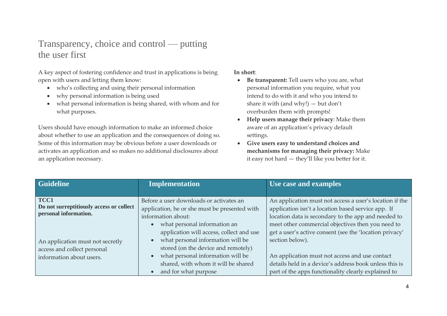## Transparency, choice and control — putting the user first

A key aspect of fostering confidence and trust in applications is being open with users and letting them know:

- who's collecting and using their personal information
- why personal information is being used
- what personal information is being shared, with whom and for what purposes.

Users should have enough information to make an informed choice about whether to use an application and the consequences of doing so. Some of this information may be obvious before a user downloads or activates an application and so makes no additional disclosures about an application necessary.

#### **In short**:

- **Be transparent:** Tell users who you are, what personal information you require, what you intend to do with it and who you intend to share it with (and why!) — but don't overburden them with prompts!
- **Help users manage their privacy**: Make them aware of an application's privacy default settings.
- **Give users easy to understand choices and mechanisms for managing their privacy:** Make it easy not hard — they'll like you better for it.

| <b>Guideline</b>                                                                                                                                                         | <b>Implementation</b>                                                                                                                                                                                                                                                                                                                 | Use case and examples                                                                                                                                                                                                                                                                                                                                     |
|--------------------------------------------------------------------------------------------------------------------------------------------------------------------------|---------------------------------------------------------------------------------------------------------------------------------------------------------------------------------------------------------------------------------------------------------------------------------------------------------------------------------------|-----------------------------------------------------------------------------------------------------------------------------------------------------------------------------------------------------------------------------------------------------------------------------------------------------------------------------------------------------------|
| TCC1<br>Do not surreptitiously access or collect<br>personal information.<br>An application must not secretly<br>access and collect personal<br>information about users. | Before a user downloads or activates an<br>application, he or she must be presented with<br>information about:<br>what personal information an<br>$\bullet$<br>application will access, collect and use<br>what personal information will be<br>$\bullet$<br>stored (on the device and remotely)<br>what personal information will be | An application must not access a user's location if the<br>application isn't a location based service app. If<br>location data is secondary to the app and needed to<br>meet other commercial objectives then you need to<br>get a user's active consent (see the 'location privacy'<br>section below).<br>An application must not access and use contact |
|                                                                                                                                                                          | shared, with whom it will be shared<br>and for what purpose                                                                                                                                                                                                                                                                           | details held in a device's address book unless this is<br>part of the apps functionality clearly explained to                                                                                                                                                                                                                                             |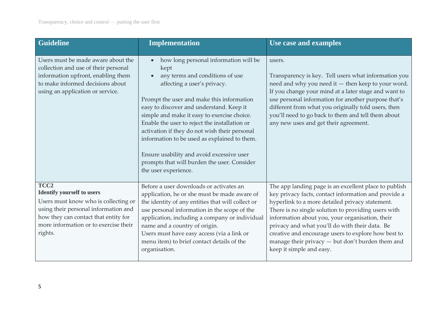| <b>Guideline</b>                                                                                                                                                                                                                  | <b>Implementation</b>                                                                                                                                                                                                                                                                                                                                                                                                                                                                                                                      | Use case and examples                                                                                                                                                                                                                                                                                                                                                                                                                                               |
|-----------------------------------------------------------------------------------------------------------------------------------------------------------------------------------------------------------------------------------|--------------------------------------------------------------------------------------------------------------------------------------------------------------------------------------------------------------------------------------------------------------------------------------------------------------------------------------------------------------------------------------------------------------------------------------------------------------------------------------------------------------------------------------------|---------------------------------------------------------------------------------------------------------------------------------------------------------------------------------------------------------------------------------------------------------------------------------------------------------------------------------------------------------------------------------------------------------------------------------------------------------------------|
| Users must be made aware about the<br>collection and use of their personal<br>information upfront, enabling them<br>to make informed decisions about<br>using an application or service.                                          | how long personal information will be<br>$\bullet$<br>kept<br>any terms and conditions of use<br>affecting a user's privacy.<br>Prompt the user and make this information<br>easy to discover and understand. Keep it<br>simple and make it easy to exercise choice.<br>Enable the user to reject the installation or<br>activation if they do not wish their personal<br>information to be used as explained to them.<br>Ensure usability and avoid excessive user<br>prompts that will burden the user. Consider<br>the user experience. | users.<br>Transparency is key. Tell users what information you<br>need and why you need it - then keep to your word.<br>If you change your mind at a later stage and want to<br>use personal information for another purpose that's<br>different from what you originally told users, then<br>you'll need to go back to them and tell them about<br>any new uses and get their agreement.                                                                           |
| TCC <sub>2</sub><br><b>Identify yourself to users</b><br>Users must know who is collecting or<br>using their personal information and<br>how they can contact that entity for<br>more information or to exercise their<br>rights. | Before a user downloads or activates an<br>application, he or she must be made aware of<br>the identity of any entities that will collect or<br>use personal information in the scope of the<br>application, including a company or individual<br>name and a country of origin.<br>Users must have easy access (via a link or<br>menu item) to brief contact details of the<br>organisation.                                                                                                                                               | The app landing page is an excellent place to publish<br>key privacy facts, contact information and provide a<br>hyperlink to a more detailed privacy statement.<br>There is no single solution to providing users with<br>information about you, your organisation, their<br>privacy and what you'll do with their data. Be<br>creative and encourage users to explore how best to<br>manage their privacy - but don't burden them and<br>keep it simple and easy. |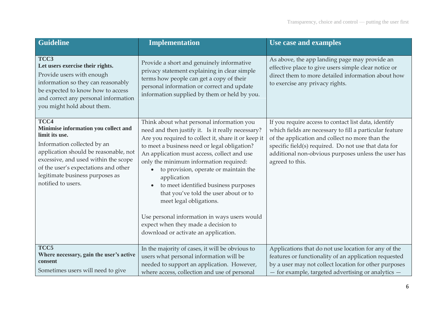| <b>Guideline</b>                                                                                                                                                                                                                                                                | <b>Implementation</b>                                                                                                                                                                                                                                                                                                                                                                                                                                                                                                                                                                                          | Use case and examples                                                                                                                                                                                                                                                                                |
|---------------------------------------------------------------------------------------------------------------------------------------------------------------------------------------------------------------------------------------------------------------------------------|----------------------------------------------------------------------------------------------------------------------------------------------------------------------------------------------------------------------------------------------------------------------------------------------------------------------------------------------------------------------------------------------------------------------------------------------------------------------------------------------------------------------------------------------------------------------------------------------------------------|------------------------------------------------------------------------------------------------------------------------------------------------------------------------------------------------------------------------------------------------------------------------------------------------------|
| TCC3<br>Let users exercise their rights.<br>Provide users with enough<br>information so they can reasonably<br>be expected to know how to access<br>and correct any personal information<br>you might hold about them.                                                          | Provide a short and genuinely informative<br>privacy statement explaining in clear simple<br>terms how people can get a copy of their<br>personal information or correct and update<br>information supplied by them or held by you.                                                                                                                                                                                                                                                                                                                                                                            | As above, the app landing page may provide an<br>effective place to give users simple clear notice or<br>direct them to more detailed information about how<br>to exercise any privacy rights.                                                                                                       |
| TCC4<br>Minimise information you collect and<br>limit its use.<br>Information collected by an<br>application should be reasonable, not<br>excessive, and used within the scope<br>of the user's expectations and other<br>legitimate business purposes as<br>notified to users. | Think about what personal information you<br>need and then justify it. Is it really necessary?<br>Are you required to collect it, share it or keep it<br>to meet a business need or legal obligation?<br>An application must access, collect and use<br>only the minimum information required:<br>to provision, operate or maintain the<br>application<br>to meet identified business purposes<br>$\bullet$<br>that you've told the user about or to<br>meet legal obligations.<br>Use personal information in ways users would<br>expect when they made a decision to<br>download or activate an application. | If you require access to contact list data, identify<br>which fields are necessary to fill a particular feature<br>of the application and collect no more than the<br>specific field(s) required. Do not use that data for<br>additional non-obvious purposes unless the user has<br>agreed to this. |
| TCC5<br>Where necessary, gain the user's active<br>consent<br>Sometimes users will need to give                                                                                                                                                                                 | In the majority of cases, it will be obvious to<br>users what personal information will be<br>needed to support an application. However,<br>where access, collection and use of personal                                                                                                                                                                                                                                                                                                                                                                                                                       | Applications that do not use location for any of the<br>features or functionality of an application requested<br>by a user may not collect location for other purposes<br>- for example, targeted advertising or analytics -                                                                         |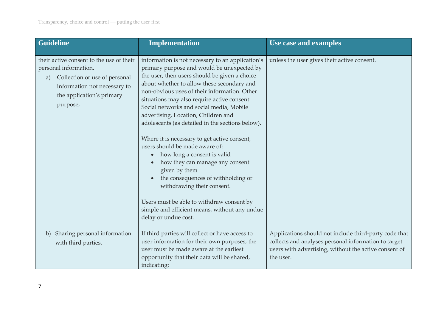| <b>Guideline</b>                                                                                                                                                                  | <b>Implementation</b>                                                                                                                                                                                                                                                                                                                                                                                                                                                                                                                                                                                                                                                                                                                                                                                           | Use case and examples                                                                                                                                                               |
|-----------------------------------------------------------------------------------------------------------------------------------------------------------------------------------|-----------------------------------------------------------------------------------------------------------------------------------------------------------------------------------------------------------------------------------------------------------------------------------------------------------------------------------------------------------------------------------------------------------------------------------------------------------------------------------------------------------------------------------------------------------------------------------------------------------------------------------------------------------------------------------------------------------------------------------------------------------------------------------------------------------------|-------------------------------------------------------------------------------------------------------------------------------------------------------------------------------------|
| their active consent to the use of their<br>personal information.<br>Collection or use of personal<br>a)<br>information not necessary to<br>the application's primary<br>purpose, | information is not necessary to an application's<br>primary purpose and would be unexpected by<br>the user, then users should be given a choice<br>about whether to allow these secondary and<br>non-obvious uses of their information. Other<br>situations may also require active consent:<br>Social networks and social media, Mobile<br>advertising, Location, Children and<br>adolescents (as detailed in the sections below).<br>Where it is necessary to get active consent,<br>users should be made aware of:<br>how long a consent is valid<br>$\bullet$<br>how they can manage any consent<br>given by them<br>the consequences of withholding or<br>withdrawing their consent.<br>Users must be able to withdraw consent by<br>simple and efficient means, without any undue<br>delay or undue cost. | unless the user gives their active consent.                                                                                                                                         |
| Sharing personal information<br>b)<br>with third parties.                                                                                                                         | If third parties will collect or have access to<br>user information for their own purposes, the<br>user must be made aware at the earliest<br>opportunity that their data will be shared,<br>indicating:                                                                                                                                                                                                                                                                                                                                                                                                                                                                                                                                                                                                        | Applications should not include third-party code that<br>collects and analyses personal information to target<br>users with advertising, without the active consent of<br>the user. |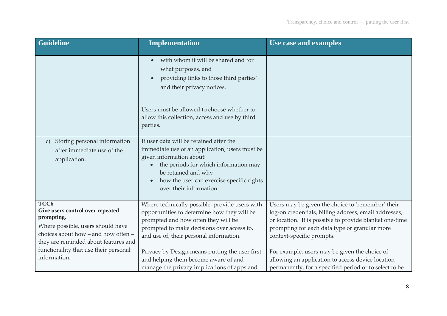| <b>Guideline</b>                                                                                                                                                                                                                                | <b>Implementation</b>                                                                                                                                                                                                                                                                                                                                                  | Use case and examples                                                                                                                                                                                                                                                                                                                                                                                               |
|-------------------------------------------------------------------------------------------------------------------------------------------------------------------------------------------------------------------------------------------------|------------------------------------------------------------------------------------------------------------------------------------------------------------------------------------------------------------------------------------------------------------------------------------------------------------------------------------------------------------------------|---------------------------------------------------------------------------------------------------------------------------------------------------------------------------------------------------------------------------------------------------------------------------------------------------------------------------------------------------------------------------------------------------------------------|
|                                                                                                                                                                                                                                                 | with whom it will be shared and for<br>what purposes, and<br>providing links to those third parties'<br>and their privacy notices.                                                                                                                                                                                                                                     |                                                                                                                                                                                                                                                                                                                                                                                                                     |
|                                                                                                                                                                                                                                                 | Users must be allowed to choose whether to<br>allow this collection, access and use by third<br>parties.                                                                                                                                                                                                                                                               |                                                                                                                                                                                                                                                                                                                                                                                                                     |
| Storing personal information<br>$\mathcal{C}$<br>after immediate use of the<br>application.                                                                                                                                                     | If user data will be retained after the<br>immediate use of an application, users must be<br>given information about:<br>the periods for which information may<br>be retained and why<br>how the user can exercise specific rights<br>$\bullet$<br>over their information.                                                                                             |                                                                                                                                                                                                                                                                                                                                                                                                                     |
| TCC <sub>6</sub><br>Give users control over repeated<br>prompting.<br>Where possible, users should have<br>choices about how - and how often -<br>they are reminded about features and<br>functionality that use their personal<br>information. | Where technically possible, provide users with<br>opportunities to determine how they will be<br>prompted and how often they will be<br>prompted to make decisions over access to,<br>and use of, their personal information.<br>Privacy by Design means putting the user first<br>and helping them become aware of and<br>manage the privacy implications of apps and | Users may be given the choice to 'remember' their<br>log-on credentials, billing address, email addresses,<br>or location. It is possible to provide blanket one-time<br>prompting for each data type or granular more<br>context-specific prompts.<br>For example, users may be given the choice of<br>allowing an application to access device location<br>permanently, for a specified period or to select to be |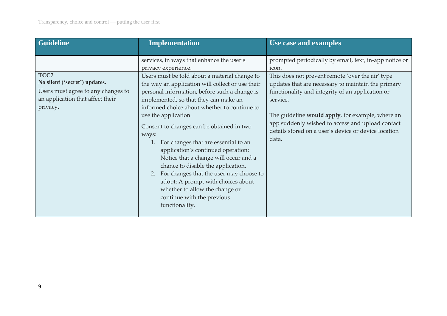| <b>Guideline</b>                                                                                                            | <b>Implementation</b>                                                                                                                                                                                                                                                                                                                                                                                                                                                                                                                                                                                                                                              | Use case and examples                                                                                                                                                                                                                                                                                                                           |
|-----------------------------------------------------------------------------------------------------------------------------|--------------------------------------------------------------------------------------------------------------------------------------------------------------------------------------------------------------------------------------------------------------------------------------------------------------------------------------------------------------------------------------------------------------------------------------------------------------------------------------------------------------------------------------------------------------------------------------------------------------------------------------------------------------------|-------------------------------------------------------------------------------------------------------------------------------------------------------------------------------------------------------------------------------------------------------------------------------------------------------------------------------------------------|
|                                                                                                                             | services, in ways that enhance the user's<br>privacy experience.                                                                                                                                                                                                                                                                                                                                                                                                                                                                                                                                                                                                   | prompted periodically by email, text, in-app notice or<br>icon.                                                                                                                                                                                                                                                                                 |
| TCC7<br>No silent ('secret') updates.<br>Users must agree to any changes to<br>an application that affect their<br>privacy. | Users must be told about a material change to<br>the way an application will collect or use their<br>personal information, before such a change is<br>implemented, so that they can make an<br>informed choice about whether to continue to<br>use the application.<br>Consent to changes can be obtained in two<br>ways:<br>1. For changes that are essential to an<br>application's continued operation:<br>Notice that a change will occur and a<br>chance to disable the application.<br>For changes that the user may choose to<br>2.<br>adopt: A prompt with choices about<br>whether to allow the change or<br>continue with the previous<br>functionality. | This does not prevent remote 'over the air' type<br>updates that are necessary to maintain the primary<br>functionality and integrity of an application or<br>service.<br>The guideline would apply, for example, where an<br>app suddenly wished to access and upload contact<br>details stored on a user's device or device location<br>data. |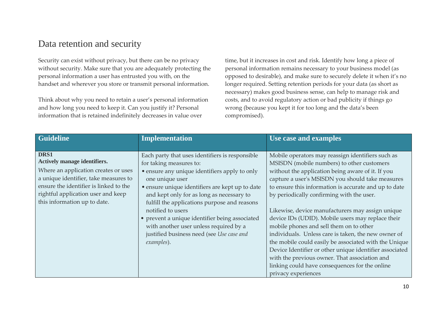### Data retention and security

Security can exist without privacy, but there can be no privacy without security. Make sure that you are adequately protecting the personal information a user has entrusted you with, on the handset and wherever you store or transmit personal information.

Think about why you need to retain a user's personal information and how long you need to keep it. Can you justify it? Personal information that is retained indefinitely decreases in value over

time, but it increases in cost and risk. Identify how long a piece of personal information remains necessary to your business model (as opposed to desirable), and make sure to securely delete it when it's no longer required. Setting retention periods for your data (as short as necessary) makes good business sense, can help to manage risk and costs, and to avoid regulatory action or bad publicity if things go wrong (because you kept it for too long and the data's been compromised).

| <b>Guideline</b>                                                                                                                                                                                                                             | <b>Implementation</b>                                                                                                                                                                                                                                                                                                                                                                                                                                                    | Use case and examples                                                                                                                                                                                                                                                                                                                                                                                                                                                                                                                                                                                                                                                                                                                                                   |
|----------------------------------------------------------------------------------------------------------------------------------------------------------------------------------------------------------------------------------------------|--------------------------------------------------------------------------------------------------------------------------------------------------------------------------------------------------------------------------------------------------------------------------------------------------------------------------------------------------------------------------------------------------------------------------------------------------------------------------|-------------------------------------------------------------------------------------------------------------------------------------------------------------------------------------------------------------------------------------------------------------------------------------------------------------------------------------------------------------------------------------------------------------------------------------------------------------------------------------------------------------------------------------------------------------------------------------------------------------------------------------------------------------------------------------------------------------------------------------------------------------------------|
| DRS1<br><b>Actively manage identifiers.</b><br>Where an application creates or uses<br>a unique identifier, take measures to<br>ensure the identifier is linked to the<br>rightful application user and keep<br>this information up to date. | Each party that uses identifiers is responsible<br>for taking measures to:<br>• ensure any unique identifiers apply to only<br>one unique user<br>• ensure unique identifiers are kept up to date<br>and kept only for as long as necessary to<br>fulfill the applications purpose and reasons<br>notified to users<br>prevent a unique identifier being associated<br>with another user unless required by a<br>justified business need (see Use case and<br>examples). | Mobile operators may reassign identifiers such as<br>MSISDN (mobile numbers) to other customers<br>without the application being aware of it. If you<br>capture a user's MSISDN you should take measures<br>to ensure this information is accurate and up to date<br>by periodically confirming with the user.<br>Likewise, device manufacturers may assign unique<br>device IDs (UDID). Mobile users may replace their<br>mobile phones and sell them on to other<br>individuals. Unless care is taken, the new owner of<br>the mobile could easily be associated with the Unique<br>Device Identifier or other unique identifier associated<br>with the previous owner. That association and<br>linking could have consequences for the online<br>privacy experiences |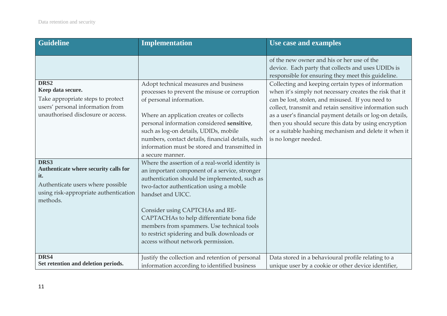| <b>Guideline</b>                                                                                                                                     | <b>Implementation</b>                                                                                                                                                                                                                                                                                                                                                                                                                 | Use case and examples                                                                                                                                                                                                                                                                                                                                                                                                              |
|------------------------------------------------------------------------------------------------------------------------------------------------------|---------------------------------------------------------------------------------------------------------------------------------------------------------------------------------------------------------------------------------------------------------------------------------------------------------------------------------------------------------------------------------------------------------------------------------------|------------------------------------------------------------------------------------------------------------------------------------------------------------------------------------------------------------------------------------------------------------------------------------------------------------------------------------------------------------------------------------------------------------------------------------|
|                                                                                                                                                      |                                                                                                                                                                                                                                                                                                                                                                                                                                       | of the new owner and his or her use of the<br>device. Each party that collects and uses UDIDs is<br>responsible for ensuring they meet this guideline.                                                                                                                                                                                                                                                                             |
| DRS <sub>2</sub><br>Keep data secure.<br>Take appropriate steps to protect<br>users' personal information from<br>unauthorised disclosure or access. | Adopt technical measures and business<br>processes to prevent the misuse or corruption<br>of personal information.<br>Where an application creates or collects<br>personal information considered sensitive,<br>such as log-on details, UDIDs, mobile<br>numbers, contact details, financial details, such<br>information must be stored and transmitted in<br>a secure manner.                                                       | Collecting and keeping certain types of information<br>when it's simply not necessary creates the risk that it<br>can be lost, stolen, and misused. If you need to<br>collect, transmit and retain sensitive information such<br>as a user's financial payment details or log-on details,<br>then you should secure this data by using encryption<br>or a suitable hashing mechanism and delete it when it<br>is no longer needed. |
| DRS3<br>Authenticate where security calls for<br>it.<br>Authenticate users where possible<br>using risk-appropriate authentication<br>methods.       | Where the assertion of a real-world identity is<br>an important component of a service, stronger<br>authentication should be implemented, such as<br>two-factor authentication using a mobile<br>handset and UICC.<br>Consider using CAPTCHAs and RE-<br>CAPTACHAs to help differentiate bona fide<br>members from spammers. Use technical tools<br>to restrict spidering and bulk downloads or<br>access without network permission. |                                                                                                                                                                                                                                                                                                                                                                                                                                    |
| DRS4<br>Set retention and deletion periods.                                                                                                          | Justify the collection and retention of personal<br>information according to identified business                                                                                                                                                                                                                                                                                                                                      | Data stored in a behavioural profile relating to a<br>unique user by a cookie or other device identifier,                                                                                                                                                                                                                                                                                                                          |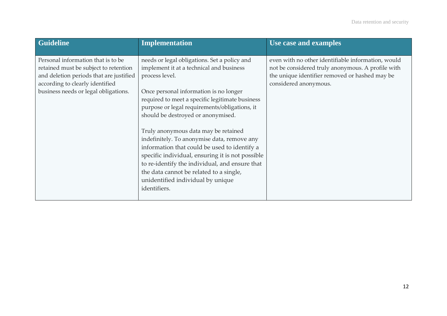| <b>Guideline</b>                                                                                                                                                                                  | <b>Implementation</b>                                                                                                                                                                                                                                                                                                                                                                                                                                                                                                                                                                                                                       | Use case and examples                                                                                                                                                              |
|---------------------------------------------------------------------------------------------------------------------------------------------------------------------------------------------------|---------------------------------------------------------------------------------------------------------------------------------------------------------------------------------------------------------------------------------------------------------------------------------------------------------------------------------------------------------------------------------------------------------------------------------------------------------------------------------------------------------------------------------------------------------------------------------------------------------------------------------------------|------------------------------------------------------------------------------------------------------------------------------------------------------------------------------------|
| Personal information that is to be<br>retained must be subject to retention<br>and deletion periods that are justified<br>according to clearly identified<br>business needs or legal obligations. | needs or legal obligations. Set a policy and<br>implement it at a technical and business<br>process level.<br>Once personal information is no longer<br>required to meet a specific legitimate business<br>purpose or legal requirements/obligations, it<br>should be destroyed or anonymised.<br>Truly anonymous data may be retained<br>indefinitely. To anonymise data, remove any<br>information that could be used to identify a<br>specific individual, ensuring it is not possible<br>to re-identify the individual, and ensure that<br>the data cannot be related to a single,<br>unidentified individual by unique<br>identifiers. | even with no other identifiable information, would<br>not be considered truly anonymous. A profile with<br>the unique identifier removed or hashed may be<br>considered anonymous. |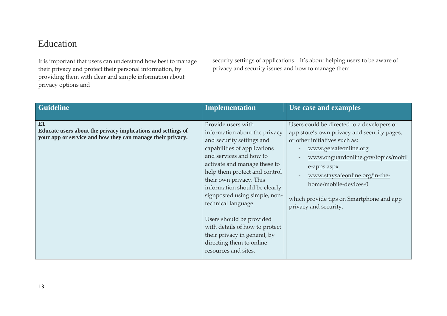## Education

It is important that users can understand how best to manage their privacy and protect their personal information, by providing them with clear and simple information about privacy options and

security settings of applications. It's about helping users to be aware of privacy and security issues and how to manage them.

| <b>Guideline</b>                                                                                                                 | <b>Implementation</b>                                                                                                                                                                                                                                                                                                                                                                                                                                                              | Use case and examples                                                                                                                                                                                                                                                                                                                    |
|----------------------------------------------------------------------------------------------------------------------------------|------------------------------------------------------------------------------------------------------------------------------------------------------------------------------------------------------------------------------------------------------------------------------------------------------------------------------------------------------------------------------------------------------------------------------------------------------------------------------------|------------------------------------------------------------------------------------------------------------------------------------------------------------------------------------------------------------------------------------------------------------------------------------------------------------------------------------------|
| E1<br>Educate users about the privacy implications and settings of<br>your app or service and how they can manage their privacy. | Provide users with<br>information about the privacy<br>and security settings and<br>capabilities of applications<br>and services and how to<br>activate and manage these to<br>help them protect and control<br>their own privacy. This<br>information should be clearly<br>signposted using simple, non-<br>technical language.<br>Users should be provided<br>with details of how to protect<br>their privacy in general, by<br>directing them to online<br>resources and sites. | Users could be directed to a developers or<br>app store's own privacy and security pages,<br>or other initiatives such as:<br>www.getsafeonline.org<br>www.onguardonline.gov/topics/mobil<br>e-apps.aspx<br>www.staysafeonline.org/in-the-<br>home/mobile-devices-0<br>which provide tips on Smartphone and app<br>privacy and security. |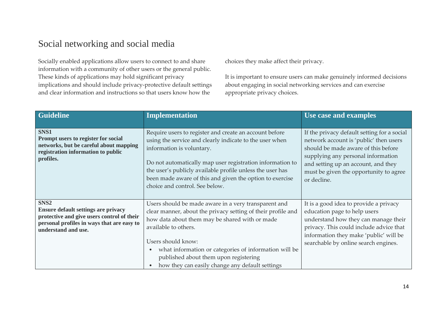## Social networking and social media

Socially enabled applications allow users to connect to and share information with a community of other users or the general public. These kinds of applications may hold significant privacy implications and should include privacy-protective default settings and clear information and instructions so that users know how the

choices they make affect their privacy.

It is important to ensure users can make genuinely informed decisions about engaging in social networking services and can exercise appropriate privacy choices.

| <b>Guideline</b>                                                                                                                                                                  | <b>Implementation</b>                                                                                                                                                                                                                                                                                                                                                     | Use case and examples                                                                                                                                                                                                                                              |
|-----------------------------------------------------------------------------------------------------------------------------------------------------------------------------------|---------------------------------------------------------------------------------------------------------------------------------------------------------------------------------------------------------------------------------------------------------------------------------------------------------------------------------------------------------------------------|--------------------------------------------------------------------------------------------------------------------------------------------------------------------------------------------------------------------------------------------------------------------|
| SNS1<br>Prompt users to register for social<br>networks, but be careful about mapping<br>registration information to public<br>profiles.                                          | Require users to register and create an account before<br>using the service and clearly indicate to the user when<br>information is voluntary.<br>Do not automatically map user registration information to<br>the user's publicly available profile unless the user has<br>been made aware of this and given the option to exercise<br>choice and control. See below.    | If the privacy default setting for a social<br>network account is 'public' then users<br>should be made aware of this before<br>supplying any personal information<br>and setting up an account, and they<br>must be given the opportunity to agree<br>or decline. |
| SNS <sub>2</sub><br><b>Ensure default settings are privacy</b><br>protective and give users control of their<br>personal profiles in ways that are easy to<br>understand and use. | Users should be made aware in a very transparent and<br>clear manner, about the privacy setting of their profile and<br>how data about them may be shared with or made<br>available to others.<br>Users should know:<br>what information or categories of information will be<br>published about them upon registering<br>how they can easily change any default settings | It is a good idea to provide a privacy<br>education page to help users<br>understand how they can manage their<br>privacy. This could include advice that<br>information they make 'public' will be<br>searchable by online search engines.                        |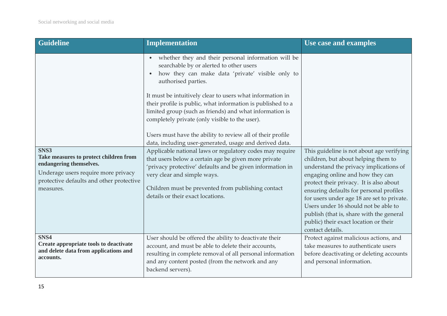| <b>Guideline</b>                                                                                                                                                          | <b>Implementation</b>                                                                                                                                                                                                                                                                                                                                                                                                                                                                                                                                                                                                                                                                                                                                                                                                                                  | Use case and examples                                                                                                                                                                                                                                                                                                                                                                                                                               |
|---------------------------------------------------------------------------------------------------------------------------------------------------------------------------|--------------------------------------------------------------------------------------------------------------------------------------------------------------------------------------------------------------------------------------------------------------------------------------------------------------------------------------------------------------------------------------------------------------------------------------------------------------------------------------------------------------------------------------------------------------------------------------------------------------------------------------------------------------------------------------------------------------------------------------------------------------------------------------------------------------------------------------------------------|-----------------------------------------------------------------------------------------------------------------------------------------------------------------------------------------------------------------------------------------------------------------------------------------------------------------------------------------------------------------------------------------------------------------------------------------------------|
| SNS3<br>Take measures to protect children from<br>endangering themselves.<br>Underage users require more privacy<br>protective defaults and other protective<br>measures. | whether they and their personal information will be<br>searchable by or alerted to other users<br>how they can make data 'private' visible only to<br>authorised parties.<br>It must be intuitively clear to users what information in<br>their profile is public, what information is published to a<br>limited group (such as friends) and what information is<br>completely private (only visible to the user).<br>Users must have the ability to review all of their profile<br>data, including user-generated, usage and derived data.<br>Applicable national laws or regulatory codes may require<br>that users below a certain age be given more private<br>'privacy protective' defaults and be given information in<br>very clear and simple ways.<br>Children must be prevented from publishing contact<br>details or their exact locations. | This guideline is not about age verifying<br>children, but about helping them to<br>understand the privacy implications of<br>engaging online and how they can<br>protect their privacy. It is also about<br>ensuring defaults for personal profiles<br>for users under age 18 are set to private.<br>Users under 16 should not be able to<br>publish (that is, share with the general<br>public) their exact location or their<br>contact details. |
| SNS4<br>Create appropriate tools to deactivate<br>and delete data from applications and<br>accounts.                                                                      | User should be offered the ability to deactivate their<br>account, and must be able to delete their accounts,<br>resulting in complete removal of all personal information<br>and any content posted (from the network and any<br>backend servers).                                                                                                                                                                                                                                                                                                                                                                                                                                                                                                                                                                                                    | Protect against malicious actions, and<br>take measures to authenticate users<br>before deactivating or deleting accounts<br>and personal information.                                                                                                                                                                                                                                                                                              |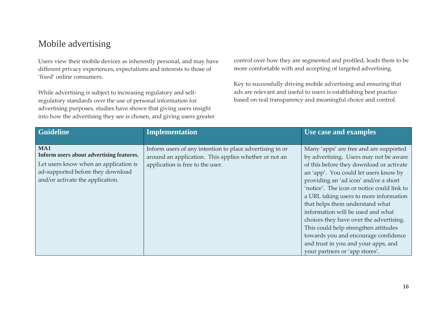## Mobile advertising

Users view their mobile devices as inherently personal, and may have different privacy experiences, expectations and interests to those of 'fixed' online consumers.

While advertising is subject to increasing regulatory and selfregulatory standards over the use of personal information for advertising purposes, studies have shown that giving users insight into how the advertising they see is chosen, and giving users greater control over how they are segmented and profiled, leads them to be more comfortable with and accepting of targeted advertising.

Key to successfully driving mobile advertising and ensuring that ads are relevant and useful to users is establishing best practice based on real transparency and meaningful choice and control.

| <b>Guideline</b>                                                                                                                                                  | <b>Implementation</b>                                                                                                                                 | Use case and examples                                                                                                                                                                                                                                                                                                                                                                                                                                                                                                                                                              |
|-------------------------------------------------------------------------------------------------------------------------------------------------------------------|-------------------------------------------------------------------------------------------------------------------------------------------------------|------------------------------------------------------------------------------------------------------------------------------------------------------------------------------------------------------------------------------------------------------------------------------------------------------------------------------------------------------------------------------------------------------------------------------------------------------------------------------------------------------------------------------------------------------------------------------------|
| MA1<br>Inform users about advertising features.<br>Let users know when an application is<br>ad-supported before they download<br>and/or activate the application. | Inform users of any intention to place advertising in or<br>around an application. This applies whether or not an<br>application is free to the user. | Many 'apps' are free and are supported<br>by advertising. Users may not be aware<br>of this before they download or activate<br>an 'app'. You could let users know by<br>providing an 'ad icon' and/or a short<br>'notice'. The icon or notice could link to<br>a URL taking users to more information<br>that helps them understand what<br>information will be used and what<br>choices they have over the advertising.<br>This could help strengthen attitudes<br>towards you and encourage confidence<br>and trust in you and your apps, and<br>your partners or 'app stores'. |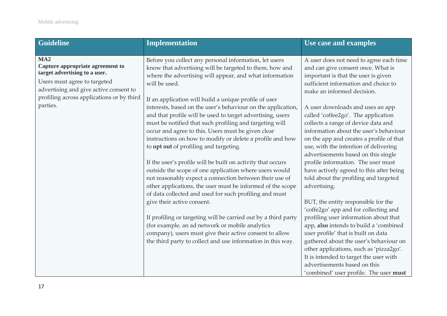| <b>Guideline</b>                                                                                                                                                                                            | <b>Implementation</b>                                                                                                                                                                                                                                                                                                                                                                                                                                                                                                                                                                                                                                                                                                                                                                                                                                                                                                                                                                                                                                                                                                                                                                                 | Use case and examples                                                                                                                                                                                                                                                                                                                                                                                                                                                                                                                                                                                                                                                                                                                                                                                                                                                                                                                                                                                                                            |
|-------------------------------------------------------------------------------------------------------------------------------------------------------------------------------------------------------------|-------------------------------------------------------------------------------------------------------------------------------------------------------------------------------------------------------------------------------------------------------------------------------------------------------------------------------------------------------------------------------------------------------------------------------------------------------------------------------------------------------------------------------------------------------------------------------------------------------------------------------------------------------------------------------------------------------------------------------------------------------------------------------------------------------------------------------------------------------------------------------------------------------------------------------------------------------------------------------------------------------------------------------------------------------------------------------------------------------------------------------------------------------------------------------------------------------|--------------------------------------------------------------------------------------------------------------------------------------------------------------------------------------------------------------------------------------------------------------------------------------------------------------------------------------------------------------------------------------------------------------------------------------------------------------------------------------------------------------------------------------------------------------------------------------------------------------------------------------------------------------------------------------------------------------------------------------------------------------------------------------------------------------------------------------------------------------------------------------------------------------------------------------------------------------------------------------------------------------------------------------------------|
| MA2<br>Capture appropriate agreement to<br>target advertising to a user.<br>Users must agree to targeted<br>advertising and give active consent to<br>profiling across applications or by third<br>parties. | Before you collect any personal information, let users<br>know that advertising will be targeted to them, how and<br>where the advertising will appear, and what information<br>will be used.<br>If an application will build a unique profile of user<br>interests, based on the user's behaviour on the application,<br>and that profile will be used to target advertising, users<br>must be notified that such profiling and targeting will<br>occur and agree to this. Users must be given clear<br>instructions on how to modify or delete a profile and how<br>to opt out of profiling and targeting.<br>If the user's profile will be built on activity that occurs<br>outside the scope of one application where users would<br>not reasonably expect a connection between their use of<br>other applications, the user must be informed of the scope<br>of data collected and used for such profiling and must<br>give their active consent.<br>If profiling or targeting will be carried out by a third party<br>(for example, an ad network or mobile analytics<br>company), users must give their active consent to allow<br>the third party to collect and use information in this way. | A user does not need to agree each time<br>and can give consent once. What is<br>important is that the user is given<br>sufficient information and choice to<br>make an informed decision.<br>A user downloads and uses an app<br>called 'coffee2go'. The application<br>collects a range of device data and<br>information about the user's behaviour<br>on the app and creates a profile of that<br>use, with the intention of delivering<br>advertisements based on this single<br>profile information. The user must<br>have actively agreed to this after being<br>told about the profiling and targeted<br>advertising.<br>BUT, the entity responsible for the<br>'coffe2go' app and for collecting and<br>profiling user information about that<br>app, also intends to build a 'combined<br>user profile' that is built on data<br>gathered about the user's behaviour on<br>other applications, such as 'pizza2go'.<br>It is intended to target the user with<br>advertisements based on this<br>'combined' user profile. The user must |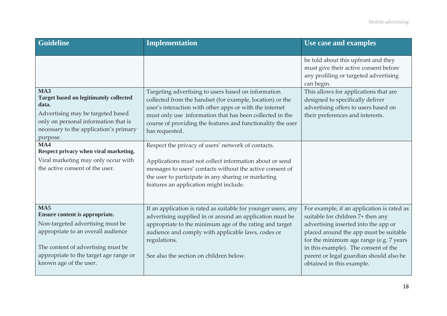| <b>Guideline</b>                                                                                                                                                                                                          | <b>Implementation</b>                                                                                                                                                                                                                                                                                                    | Use case and examples                                                                                                                                                                                                                                                                                                        |
|---------------------------------------------------------------------------------------------------------------------------------------------------------------------------------------------------------------------------|--------------------------------------------------------------------------------------------------------------------------------------------------------------------------------------------------------------------------------------------------------------------------------------------------------------------------|------------------------------------------------------------------------------------------------------------------------------------------------------------------------------------------------------------------------------------------------------------------------------------------------------------------------------|
|                                                                                                                                                                                                                           |                                                                                                                                                                                                                                                                                                                          | be told about this upfront and they<br>must give their active consent before<br>any profiling or targeted advertising<br>can begin.                                                                                                                                                                                          |
| MA3<br><b>Target based on legitimately collected</b><br>data.<br>Advertising may be targeted based<br>only on personal information that is<br>necessary to the application's primary<br>purpose.                          | Targeting advertising to users based on information<br>collected from the handset (for example, location) or the<br>user's interaction with other apps or with the internet<br>must only use information that has been collected in the<br>course of providing the features and functionality the user<br>has requested. | This allows for applications that are<br>designed to specifically deliver<br>advertising offers to users based on<br>their preferences and interests.                                                                                                                                                                        |
| MA4<br>Respect privacy when viral marketing.<br>Viral marketing may only occur with<br>the active consent of the user.                                                                                                    | Respect the privacy of users' network of contacts.<br>Applications must not collect information about or send<br>messages to users' contacts without the active consent of<br>the user to participate in any sharing or marketing<br>features an application might include.                                              |                                                                                                                                                                                                                                                                                                                              |
| MA5<br>Ensure content is appropriate.<br>Non-targeted advertising must be<br>appropriate to an overall audience<br>The content of advertising must be<br>appropriate to the target age range or<br>known age of the user. | If an application is rated as suitable for younger users, any<br>advertising supplied in or around an application must be<br>appropriate to the minimum age of the rating and target<br>audience and comply with applicable laws, codes or<br>regulations.<br>See also the section on children below.                    | For example, if an application is rated as<br>suitable for children 7+ then any<br>advertising inserted into the app or<br>placed around the app must be suitable<br>for the minimum age range (e.g. 7 years<br>in this example). The consent of the<br>parent or legal guardian should also be<br>obtained in this example. |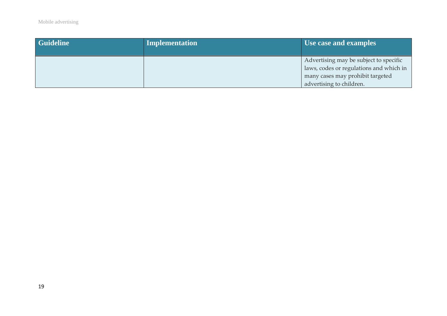| <b>Guideline</b> | <b>Implementation</b> | Use case and examples                                                                                                                             |
|------------------|-----------------------|---------------------------------------------------------------------------------------------------------------------------------------------------|
|                  |                       | Advertising may be subject to specific<br>laws, codes or regulations and which in<br>many cases may prohibit targeted<br>advertising to children. |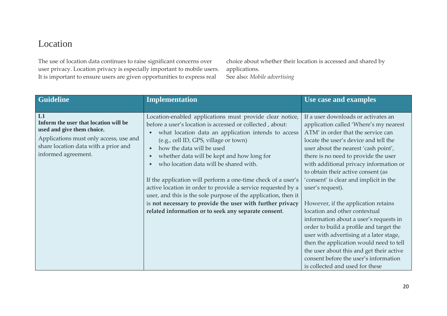## Location

The use of location data continues to raise significant concerns over user privacy. Location privacy is especially important to mobile users. It is important to ensure users are given opportunities to express real

choice about whether their location is accessed and shared by applications. See also: *Mobile advertising*

| <b>Guideline</b>                                                                                                                                                                   | <b>Implementation</b>                                                                                                                                                                                                                                                                                                                                                                                                                                                                                                                                                                                                                                             | Use case and examples                                                                                                                                                                                                                                                                                                                                                                                                                                                                                                                                                                                                                                                                                                                                                 |
|------------------------------------------------------------------------------------------------------------------------------------------------------------------------------------|-------------------------------------------------------------------------------------------------------------------------------------------------------------------------------------------------------------------------------------------------------------------------------------------------------------------------------------------------------------------------------------------------------------------------------------------------------------------------------------------------------------------------------------------------------------------------------------------------------------------------------------------------------------------|-----------------------------------------------------------------------------------------------------------------------------------------------------------------------------------------------------------------------------------------------------------------------------------------------------------------------------------------------------------------------------------------------------------------------------------------------------------------------------------------------------------------------------------------------------------------------------------------------------------------------------------------------------------------------------------------------------------------------------------------------------------------------|
| L1<br>Inform the user that location will be<br>used and give them choice.<br>Applications must only access, use and<br>share location data with a prior and<br>informed agreement. | Location-enabled applications must provide clear notice,<br>before a user's location is accessed or collected, about:<br>what location data an application intends to access<br>(e.g., cell ID, GPS, village or town)<br>how the data will be used<br>whether data will be kept and how long for<br>who location data will be shared with.<br>If the application will perform a one-time check of a user's<br>active location in order to provide a service requested by a<br>user, and this is the sole purpose of the application, then it<br>is not necessary to provide the user with further privacy<br>related information or to seek any separate consent. | If a user downloads or activates an<br>application called 'Where's my nearest<br>ATM' in order that the service can<br>locate the user's device and tell the<br>user about the nearest 'cash point',<br>there is no need to provide the user<br>with additional privacy information or<br>to obtain their active consent (as<br>'consent' is clear and implicit in the<br>user's request).<br>However, if the application retains<br>location and other contextual<br>information about a user's requests in<br>order to build a profile and target the<br>user with advertising at a later stage,<br>then the application would need to tell<br>the user about this and get their active<br>consent before the user's information<br>is collected and used for these |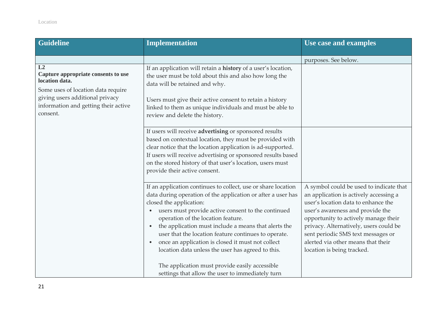| <b>Guideline</b>                                                                                                                                                                         | <b>Implementation</b>                                                                                                                                                                                                                                                                                                                                                                                                                                                                                                                                                                             | Use case and examples                                                                                                                                                                                                                                                                                                                                    |
|------------------------------------------------------------------------------------------------------------------------------------------------------------------------------------------|---------------------------------------------------------------------------------------------------------------------------------------------------------------------------------------------------------------------------------------------------------------------------------------------------------------------------------------------------------------------------------------------------------------------------------------------------------------------------------------------------------------------------------------------------------------------------------------------------|----------------------------------------------------------------------------------------------------------------------------------------------------------------------------------------------------------------------------------------------------------------------------------------------------------------------------------------------------------|
|                                                                                                                                                                                          |                                                                                                                                                                                                                                                                                                                                                                                                                                                                                                                                                                                                   | purposes. See below.                                                                                                                                                                                                                                                                                                                                     |
| L2<br>Capture appropriate consents to use<br>location data.<br>Some uses of location data require<br>giving users additional privacy<br>information and getting their active<br>consent. | If an application will retain a history of a user's location,<br>the user must be told about this and also how long the<br>data will be retained and why.<br>Users must give their active consent to retain a history<br>linked to them as unique individuals and must be able to<br>review and delete the history.                                                                                                                                                                                                                                                                               |                                                                                                                                                                                                                                                                                                                                                          |
|                                                                                                                                                                                          | If users will receive advertising or sponsored results<br>based on contextual location, they must be provided with<br>clear notice that the location application is ad-supported.<br>If users will receive advertising or sponsored results based<br>on the stored history of that user's location, users must<br>provide their active consent.                                                                                                                                                                                                                                                   |                                                                                                                                                                                                                                                                                                                                                          |
|                                                                                                                                                                                          | If an application continues to collect, use or share location<br>data during operation of the application or after a user has<br>closed the application:<br>users must provide active consent to the continued<br>operation of the location feature.<br>the application must include a means that alerts the<br>user that the location feature continues to operate.<br>once an application is closed it must not collect<br>$\bullet$<br>location data unless the user has agreed to this.<br>The application must provide easily accessible<br>settings that allow the user to immediately turn | A symbol could be used to indicate that<br>an application is actively accessing a<br>user's location data to enhance the<br>user's awareness and provide the<br>opportunity to actively manage their<br>privacy. Alternatively, users could be<br>sent periodic SMS text messages or<br>alerted via other means that their<br>location is being tracked. |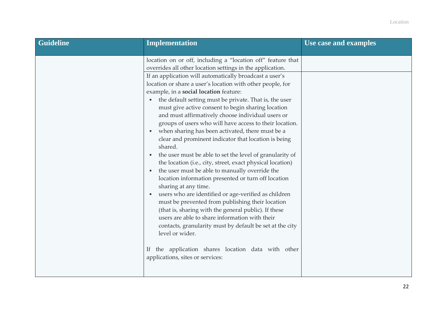| <b>Guideline</b> | <b>Implementation</b>                                                                                                                                                                                                                                                                                                                                                                                                                                                                                                                                                                                                                                                                                                                                                                                                                                                                                                                                                                                                                                                                                                                                                                                                                                                                                                        | Use case and examples |
|------------------|------------------------------------------------------------------------------------------------------------------------------------------------------------------------------------------------------------------------------------------------------------------------------------------------------------------------------------------------------------------------------------------------------------------------------------------------------------------------------------------------------------------------------------------------------------------------------------------------------------------------------------------------------------------------------------------------------------------------------------------------------------------------------------------------------------------------------------------------------------------------------------------------------------------------------------------------------------------------------------------------------------------------------------------------------------------------------------------------------------------------------------------------------------------------------------------------------------------------------------------------------------------------------------------------------------------------------|-----------------------|
|                  | location on or off, including a "location off" feature that<br>overrides all other location settings in the application.<br>If an application will automatically broadcast a user's<br>location or share a user's location with other people, for<br>example, in a social location feature:<br>the default setting must be private. That is, the user<br>must give active consent to begin sharing location<br>and must affirmatively choose individual users or<br>groups of users who will have access to their location.<br>when sharing has been activated, there must be a<br>clear and prominent indicator that location is being<br>shared.<br>the user must be able to set the level of granularity of<br>the location (i.e., city, street, exact physical location)<br>the user must be able to manually override the<br>$\bullet$<br>location information presented or turn off location<br>sharing at any time.<br>users who are identified or age-verified as children<br>must be prevented from publishing their location<br>(that is, sharing with the general public). If these<br>users are able to share information with their<br>contacts, granularity must by default be set at the city<br>level or wider.<br>the application shares location data with other<br>If<br>applications, sites or services: |                       |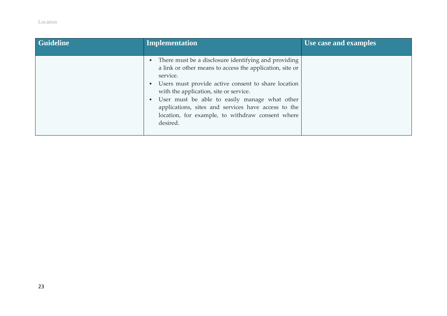| <b>Guideline</b> | <b>Implementation</b>                                                                                                                                                                                                                                                                                                                                                                                 | Use case and examples |
|------------------|-------------------------------------------------------------------------------------------------------------------------------------------------------------------------------------------------------------------------------------------------------------------------------------------------------------------------------------------------------------------------------------------------------|-----------------------|
|                  | There must be a disclosure identifying and providing<br>a link or other means to access the application, site or<br>service.<br>Users must provide active consent to share location<br>with the application, site or service.<br>User must be able to easily manage what other<br>applications, sites and services have access to the<br>location, for example, to withdraw consent where<br>desired. |                       |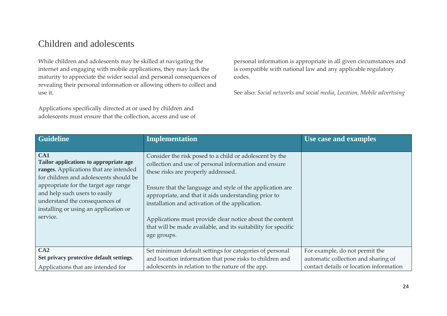### Children and adolescents

While children and adolescents may be skilled at navigating the internet and engaging with mobile applications, they may lack the maturity to appreciate the wider social and personal consequences of revealing their personal information or allowing others to collect and use it.

Applications specifically directed at or used by children and adolescents must ensure that the collection, access and use of personal information is appropriate in all given circumstances and is compatible with national law and any applicable regulatory codes.

See also: *Social networks and social media, Location, Mobile advertising*

| <b>Guideline</b>                                                                                                                                                                                                                                                                                  | <b>Implementation</b>                                                                                                                                                                                                                                                                                                                                                                                                                                                       | Use case and examples                   |
|---------------------------------------------------------------------------------------------------------------------------------------------------------------------------------------------------------------------------------------------------------------------------------------------------|-----------------------------------------------------------------------------------------------------------------------------------------------------------------------------------------------------------------------------------------------------------------------------------------------------------------------------------------------------------------------------------------------------------------------------------------------------------------------------|-----------------------------------------|
| CA1<br>Tailor applications to appropriate age<br>ranges. Applications that are intended<br>for children and adolescents should be<br>appropriate for the target age range<br>and help such users to easily<br>understand the consequences of<br>installing or using an application or<br>service. | Consider the risk posed to a child or adolescent by the<br>collection and use of personal information and ensure<br>these risks are properly addressed.<br>Ensure that the language and style of the application are<br>appropriate, and that it aids understanding prior to<br>installation and activation of the application.<br>Applications must provide clear notice about the content<br>that will be made available, and its suitability for specific<br>age groups. |                                         |
| CA2                                                                                                                                                                                                                                                                                               | Set minimum default settings for categories of personal                                                                                                                                                                                                                                                                                                                                                                                                                     | For example, do not permit the          |
| Set privacy protective default settings.                                                                                                                                                                                                                                                          | and location information that pose risks to children and                                                                                                                                                                                                                                                                                                                                                                                                                    | automatic collection and sharing of     |
| Applications that are intended for                                                                                                                                                                                                                                                                | adolescents in relation to the nature of the app.                                                                                                                                                                                                                                                                                                                                                                                                                           | contact details or location information |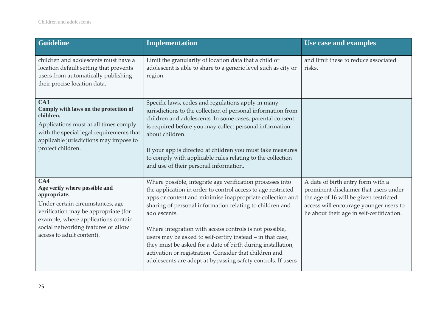| <b>Guideline</b>                                                                                                                                                                                                                            | <b>Implementation</b>                                                                                                                                                                                                                                                                                                                                                                                                                                                                                                                                                                | Use case and examples                                                                                                                                                                                        |
|---------------------------------------------------------------------------------------------------------------------------------------------------------------------------------------------------------------------------------------------|--------------------------------------------------------------------------------------------------------------------------------------------------------------------------------------------------------------------------------------------------------------------------------------------------------------------------------------------------------------------------------------------------------------------------------------------------------------------------------------------------------------------------------------------------------------------------------------|--------------------------------------------------------------------------------------------------------------------------------------------------------------------------------------------------------------|
| children and adolescents must have a<br>location default setting that prevents<br>users from automatically publishing<br>their precise location data.                                                                                       | Limit the granularity of location data that a child or<br>adolescent is able to share to a generic level such as city or<br>region.                                                                                                                                                                                                                                                                                                                                                                                                                                                  | and limit these to reduce associated<br>risks.                                                                                                                                                               |
| CA3<br>Comply with laws on the protection of<br>children.<br>Applications must at all times comply<br>with the special legal requirements that<br>applicable jurisdictions may impose to<br>protect children.                               | Specific laws, codes and regulations apply in many<br>jurisdictions to the collection of personal information from<br>children and adolescents. In some cases, parental consent<br>is required before you may collect personal information<br>about children.<br>If your app is directed at children you must take measures<br>to comply with applicable rules relating to the collection<br>and use of their personal information.                                                                                                                                                  |                                                                                                                                                                                                              |
| CA4<br>Age verify where possible and<br>appropriate.<br>Under certain circumstances, age<br>verification may be appropriate (for<br>example, where applications contain<br>social networking features or allow<br>access to adult content). | Where possible, integrate age verification processes into<br>the application in order to control access to age restricted<br>apps or content and minimise inappropriate collection and<br>sharing of personal information relating to children and<br>adolescents.<br>Where integration with access controls is not possible,<br>users may be asked to self-certify instead - in that case,<br>they must be asked for a date of birth during installation,<br>activation or registration. Consider that children and<br>adolescents are adept at bypassing safety controls. If users | A date of birth entry form with a<br>prominent disclaimer that users under<br>the age of 16 will be given restricted<br>access will encourage younger users to<br>lie about their age in self-certification. |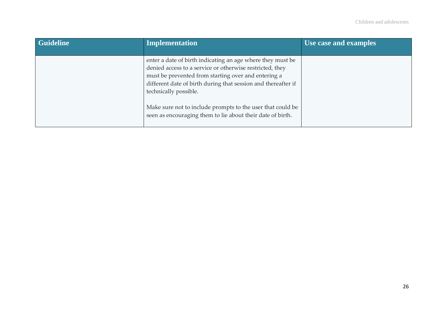| <b>Guideline</b> | <b>Implementation</b>                                                                                                                                                                                                                                                   | Use case and examples |
|------------------|-------------------------------------------------------------------------------------------------------------------------------------------------------------------------------------------------------------------------------------------------------------------------|-----------------------|
|                  | enter a date of birth indicating an age where they must be<br>denied access to a service or otherwise restricted, they<br>must be prevented from starting over and entering a<br>different date of birth during that session and thereafter if<br>technically possible. |                       |
|                  | Make sure not to include prompts to the user that could be<br>seen as encouraging them to lie about their date of birth.                                                                                                                                                |                       |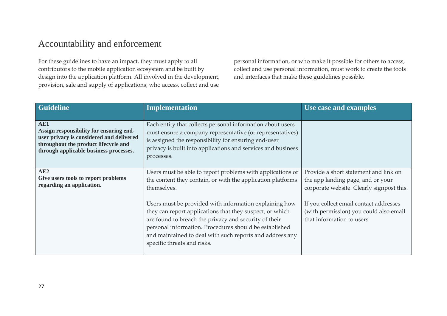### Accountability and enforcement

For these guidelines to have an impact, they must apply to all contributors to the mobile application ecosystem and be built by design into the application platform. All involved in the development, provision, sale and supply of applications, who access, collect and use

personal information, or who make it possible for others to access, collect and use personal information, must work to create the tools and interfaces that make these guidelines possible.

| <b>Guideline</b>                                                                                                                                                             | <b>Implementation</b>                                                                                                                                                                                                                                                                                                            | Use case and examples                                                                                                   |
|------------------------------------------------------------------------------------------------------------------------------------------------------------------------------|----------------------------------------------------------------------------------------------------------------------------------------------------------------------------------------------------------------------------------------------------------------------------------------------------------------------------------|-------------------------------------------------------------------------------------------------------------------------|
| AE1<br>Assign responsibility for ensuring end-<br>user privacy is considered and delivered<br>throughout the product lifecycle and<br>through applicable business processes. | Each entity that collects personal information about users<br>must ensure a company representative (or representatives)<br>is assigned the responsibility for ensuring end-user<br>privacy is built into applications and services and business<br>processes.                                                                    |                                                                                                                         |
| AE2<br>Give users tools to report problems<br>regarding an application.                                                                                                      | Users must be able to report problems with applications or<br>the content they contain, or with the application platforms<br>themselves.                                                                                                                                                                                         | Provide a short statement and link on<br>the app landing page, and or your<br>corporate website. Clearly signpost this. |
|                                                                                                                                                                              | Users must be provided with information explaining how<br>they can report applications that they suspect, or which<br>are found to breach the privacy and security of their<br>personal information. Procedures should be established<br>and maintained to deal with such reports and address any<br>specific threats and risks. | If you collect email contact addresses<br>(with permission) you could also email<br>that information to users.          |